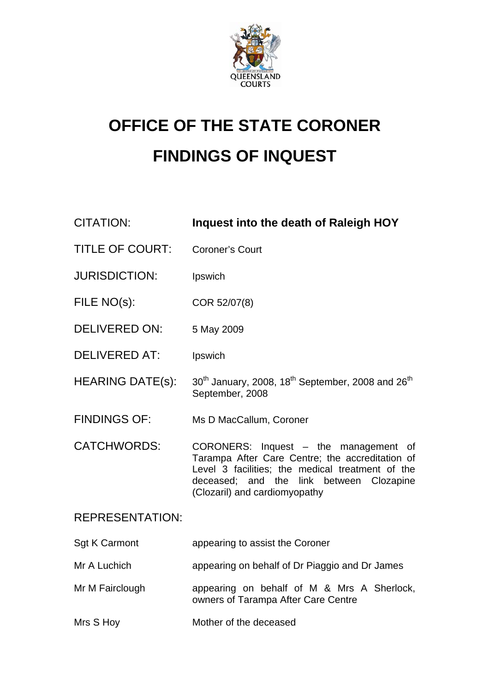

# **OFFICE OF THE STATE CORONER FINDINGS OF INQUEST**

| <b>CITATION:</b>        | Inquest into the death of Raleigh HOY                                                                                                                                                                                     |
|-------------------------|---------------------------------------------------------------------------------------------------------------------------------------------------------------------------------------------------------------------------|
| <b>TITLE OF COURT:</b>  | <b>Coroner's Court</b>                                                                                                                                                                                                    |
| <b>JURISDICTION:</b>    | Ipswich                                                                                                                                                                                                                   |
| FILE NO(s):             | COR 52/07(8)                                                                                                                                                                                                              |
| <b>DELIVERED ON:</b>    | 5 May 2009                                                                                                                                                                                                                |
| <b>DELIVERED AT:</b>    | Ipswich                                                                                                                                                                                                                   |
| <b>HEARING DATE(s):</b> | 30 <sup>th</sup> January, 2008, 18 <sup>th</sup> September, 2008 and 26 <sup>th</sup><br>September, 2008                                                                                                                  |
| <b>FINDINGS OF:</b>     | Ms D MacCallum, Coroner                                                                                                                                                                                                   |
| <b>CATCHWORDS:</b>      | CORONERS: Inquest - the management of<br>Tarampa After Care Centre; the accreditation of<br>Level 3 facilities; the medical treatment of the<br>deceased; and the link between Clozapine<br>(Clozaril) and cardiomyopathy |
| <b>REPRESENTATION:</b>  |                                                                                                                                                                                                                           |
| <b>Sgt K Carmont</b>    | appearing to assist the Coroner                                                                                                                                                                                           |
| Mr A Luchich            | appearing on behalf of Dr Piaggio and Dr James                                                                                                                                                                            |
| Mr M Fairclough         | appearing on behalf of M & Mrs A Sherlock,<br>owners of Tarampa After Care Centre                                                                                                                                         |
| Mrs S Hoy               | Mother of the deceased                                                                                                                                                                                                    |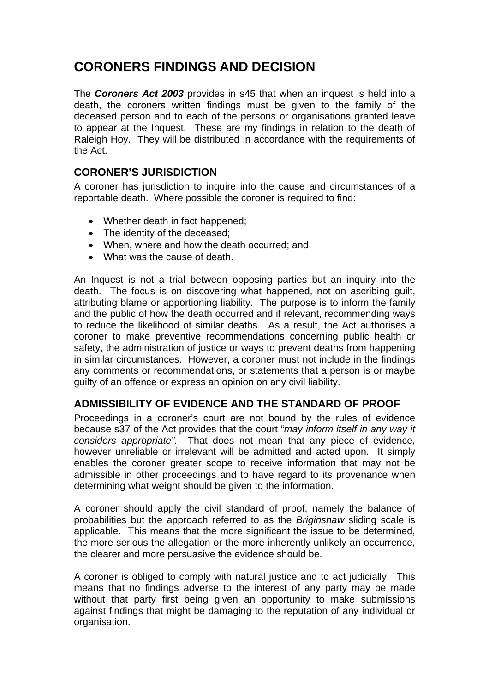## **CORONERS FINDINGS AND DECISION**

The *Coroners Act 2003* provides in s45 that when an inquest is held into a death, the coroners written findings must be given to the family of the deceased person and to each of the persons or organisations granted leave to appear at the Inquest. These are my findings in relation to the death of Raleigh Hoy. They will be distributed in accordance with the requirements of the Act.

### **CORONER'S JURISDICTION**

A coroner has jurisdiction to inquire into the cause and circumstances of a reportable death. Where possible the coroner is required to find:

- Whether death in fact happened;
- The identity of the deceased;
- When, where and how the death occurred; and
- What was the cause of death.

An Inquest is not a trial between opposing parties but an inquiry into the death. The focus is on discovering what happened, not on ascribing guilt, attributing blame or apportioning liability. The purpose is to inform the family and the public of how the death occurred and if relevant, recommending ways to reduce the likelihood of similar deaths. As a result, the Act authorises a coroner to make preventive recommendations concerning public health or safety, the administration of justice or ways to prevent deaths from happening in similar circumstances. However, a coroner must not include in the findings any comments or recommendations, or statements that a person is or maybe guilty of an offence or express an opinion on any civil liability.

## **ADMISSIBILITY OF EVIDENCE AND THE STANDARD OF PROOF**

Proceedings in a coroner's court are not bound by the rules of evidence because s37 of the Act provides that the court "*may inform itself in any way it considers appropriate".* That does not mean that any piece of evidence, however unreliable or irrelevant will be admitted and acted upon. It simply enables the coroner greater scope to receive information that may not be admissible in other proceedings and to have regard to its provenance when determining what weight should be given to the information.

A coroner should apply the civil standard of proof, namely the balance of probabilities but the approach referred to as the *Briginshaw* sliding scale is applicable. This means that the more significant the issue to be determined, the more serious the allegation or the more inherently unlikely an occurrence, the clearer and more persuasive the evidence should be.

A coroner is obliged to comply with natural justice and to act judicially. This means that no findings adverse to the interest of any party may be made without that party first being given an opportunity to make submissions against findings that might be damaging to the reputation of any individual or organisation.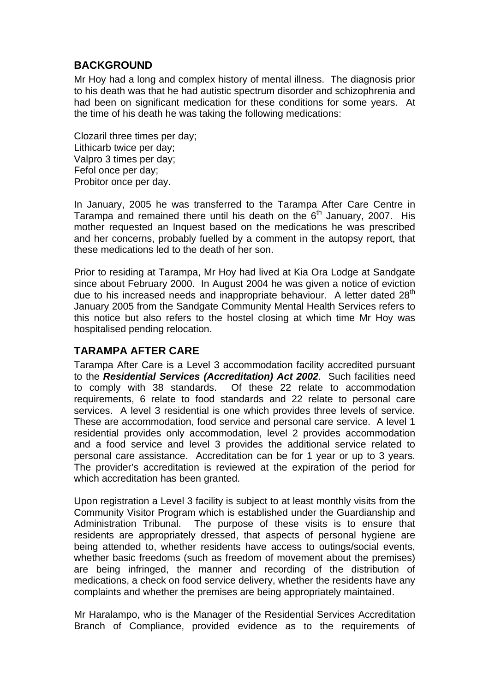## **BACKGROUND**

Mr Hoy had a long and complex history of mental illness. The diagnosis prior to his death was that he had autistic spectrum disorder and schizophrenia and had been on significant medication for these conditions for some years. At the time of his death he was taking the following medications:

Clozaril three times per day; Lithicarb twice per day; Valpro 3 times per day; Fefol once per day; Probitor once per day.

In January, 2005 he was transferred to the Tarampa After Care Centre in Tarampa and remained there until his death on the  $6<sup>th</sup>$  January, 2007. His mother requested an Inquest based on the medications he was prescribed and her concerns, probably fuelled by a comment in the autopsy report, that these medications led to the death of her son.

Prior to residing at Tarampa, Mr Hoy had lived at Kia Ora Lodge at Sandgate since about February 2000. In August 2004 he was given a notice of eviction due to his increased needs and inappropriate behaviour. A letter dated 28<sup>th</sup> January 2005 from the Sandgate Community Mental Health Services refers to this notice but also refers to the hostel closing at which time Mr Hoy was hospitalised pending relocation.

## **TARAMPA AFTER CARE**

Tarampa After Care is a Level 3 accommodation facility accredited pursuant to the *Residential Services (Accreditation) Act 2002*. Such facilities need to comply with 38 standards. Of these 22 relate to accommodation requirements, 6 relate to food standards and 22 relate to personal care services. A level 3 residential is one which provides three levels of service. These are accommodation, food service and personal care service. A level 1 residential provides only accommodation, level 2 provides accommodation and a food service and level 3 provides the additional service related to personal care assistance. Accreditation can be for 1 year or up to 3 years. The provider's accreditation is reviewed at the expiration of the period for which accreditation has been granted.

Upon registration a Level 3 facility is subject to at least monthly visits from the Community Visitor Program which is established under the Guardianship and Administration Tribunal. The purpose of these visits is to ensure that residents are appropriately dressed, that aspects of personal hygiene are being attended to, whether residents have access to outings/social events, whether basic freedoms (such as freedom of movement about the premises) are being infringed, the manner and recording of the distribution of medications, a check on food service delivery, whether the residents have any complaints and whether the premises are being appropriately maintained.

Mr Haralampo, who is the Manager of the Residential Services Accreditation Branch of Compliance, provided evidence as to the requirements of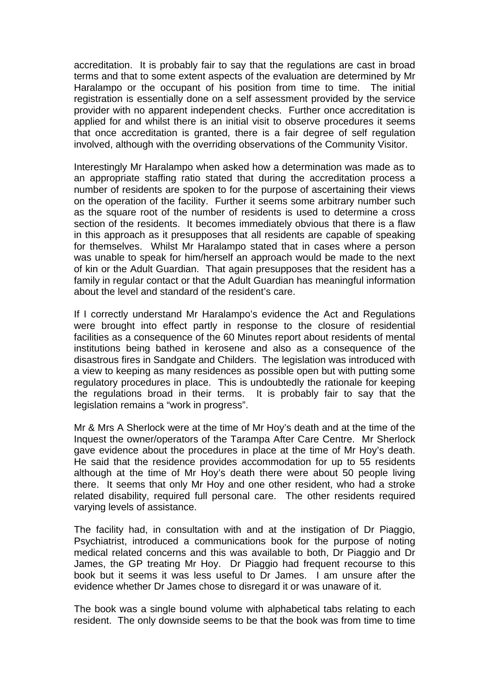accreditation. It is probably fair to say that the regulations are cast in broad terms and that to some extent aspects of the evaluation are determined by Mr Haralampo or the occupant of his position from time to time. The initial registration is essentially done on a self assessment provided by the service provider with no apparent independent checks. Further once accreditation is applied for and whilst there is an initial visit to observe procedures it seems that once accreditation is granted, there is a fair degree of self regulation involved, although with the overriding observations of the Community Visitor.

Interestingly Mr Haralampo when asked how a determination was made as to an appropriate staffing ratio stated that during the accreditation process a number of residents are spoken to for the purpose of ascertaining their views on the operation of the facility. Further it seems some arbitrary number such as the square root of the number of residents is used to determine a cross section of the residents. It becomes immediately obvious that there is a flaw in this approach as it presupposes that all residents are capable of speaking for themselves. Whilst Mr Haralampo stated that in cases where a person was unable to speak for him/herself an approach would be made to the next of kin or the Adult Guardian. That again presupposes that the resident has a family in regular contact or that the Adult Guardian has meaningful information about the level and standard of the resident's care.

If I correctly understand Mr Haralampo's evidence the Act and Regulations were brought into effect partly in response to the closure of residential facilities as a consequence of the 60 Minutes report about residents of mental institutions being bathed in kerosene and also as a consequence of the disastrous fires in Sandgate and Childers. The legislation was introduced with a view to keeping as many residences as possible open but with putting some regulatory procedures in place. This is undoubtedly the rationale for keeping the regulations broad in their terms. It is probably fair to say that the legislation remains a "work in progress".

Mr & Mrs A Sherlock were at the time of Mr Hoy's death and at the time of the Inquest the owner/operators of the Tarampa After Care Centre. Mr Sherlock gave evidence about the procedures in place at the time of Mr Hoy's death. He said that the residence provides accommodation for up to 55 residents although at the time of Mr Hoy's death there were about 50 people living there. It seems that only Mr Hoy and one other resident, who had a stroke related disability, required full personal care. The other residents required varying levels of assistance.

The facility had, in consultation with and at the instigation of Dr Piaggio, Psychiatrist, introduced a communications book for the purpose of noting medical related concerns and this was available to both, Dr Piaggio and Dr James, the GP treating Mr Hoy. Dr Piaggio had frequent recourse to this book but it seems it was less useful to Dr James. I am unsure after the evidence whether Dr James chose to disregard it or was unaware of it.

The book was a single bound volume with alphabetical tabs relating to each resident. The only downside seems to be that the book was from time to time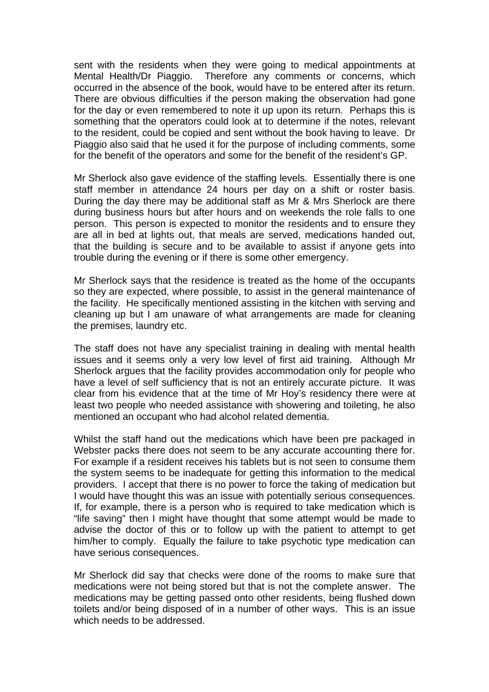sent with the residents when they were going to medical appointments at Mental Health/Dr Piaggio. Therefore any comments or concerns, which occurred in the absence of the book, would have to be entered after its return. There are obvious difficulties if the person making the observation had gone for the day or even remembered to note it up upon its return. Perhaps this is something that the operators could look at to determine if the notes, relevant to the resident, could be copied and sent without the book having to leave. Dr Piaggio also said that he used it for the purpose of including comments, some for the benefit of the operators and some for the benefit of the resident's GP.

Mr Sherlock also gave evidence of the staffing levels. Essentially there is one staff member in attendance 24 hours per day on a shift or roster basis. During the day there may be additional staff as Mr & Mrs Sherlock are there during business hours but after hours and on weekends the role falls to one person. This person is expected to monitor the residents and to ensure they are all in bed at lights out, that meals are served, medications handed out, that the building is secure and to be available to assist if anyone gets into trouble during the evening or if there is some other emergency.

Mr Sherlock says that the residence is treated as the home of the occupants so they are expected, where possible, to assist in the general maintenance of the facility. He specifically mentioned assisting in the kitchen with serving and cleaning up but I am unaware of what arrangements are made for cleaning the premises, laundry etc.

The staff does not have any specialist training in dealing with mental health issues and it seems only a very low level of first aid training. Although Mr Sherlock argues that the facility provides accommodation only for people who have a level of self sufficiency that is not an entirely accurate picture. It was clear from his evidence that at the time of Mr Hoy's residency there were at least two people who needed assistance with showering and toileting, he also mentioned an occupant who had alcohol related dementia.

Whilst the staff hand out the medications which have been pre packaged in Webster packs there does not seem to be any accurate accounting there for. For example if a resident receives his tablets but is not seen to consume them the system seems to be inadequate for getting this information to the medical providers. I accept that there is no power to force the taking of medication but I would have thought this was an issue with potentially serious consequences. If, for example, there is a person who is required to take medication which is "life saving" then I might have thought that some attempt would be made to advise the doctor of this or to follow up with the patient to attempt to get him/her to comply. Equally the failure to take psychotic type medication can have serious consequences.

Mr Sherlock did say that checks were done of the rooms to make sure that medications were not being stored but that is not the complete answer. The medications may be getting passed onto other residents, being flushed down toilets and/or being disposed of in a number of other ways. This is an issue which needs to be addressed.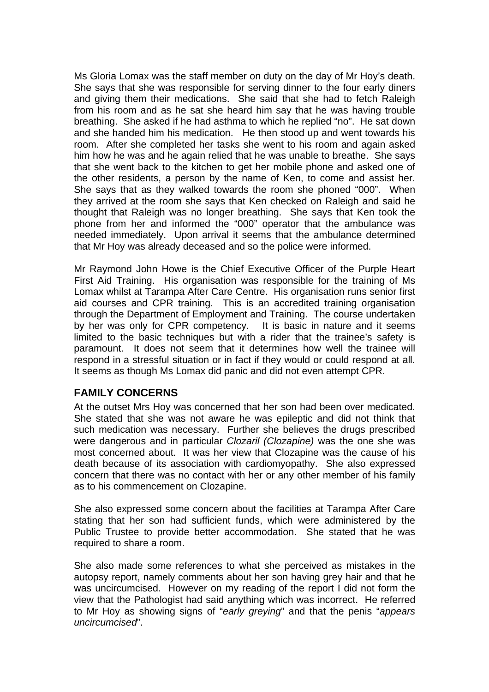Ms Gloria Lomax was the staff member on duty on the day of Mr Hoy's death. She says that she was responsible for serving dinner to the four early diners and giving them their medications. She said that she had to fetch Raleigh from his room and as he sat she heard him say that he was having trouble breathing. She asked if he had asthma to which he replied "no". He sat down and she handed him his medication. He then stood up and went towards his room. After she completed her tasks she went to his room and again asked him how he was and he again relied that he was unable to breathe. She says that she went back to the kitchen to get her mobile phone and asked one of the other residents, a person by the name of Ken, to come and assist her. She says that as they walked towards the room she phoned "000". When they arrived at the room she says that Ken checked on Raleigh and said he thought that Raleigh was no longer breathing. She says that Ken took the phone from her and informed the "000" operator that the ambulance was needed immediately. Upon arrival it seems that the ambulance determined that Mr Hoy was already deceased and so the police were informed.

Mr Raymond John Howe is the Chief Executive Officer of the Purple Heart First Aid Training. His organisation was responsible for the training of Ms Lomax whilst at Tarampa After Care Centre. His organisation runs senior first aid courses and CPR training. This is an accredited training organisation through the Department of Employment and Training. The course undertaken by her was only for CPR competency. It is basic in nature and it seems limited to the basic techniques but with a rider that the trainee's safety is paramount. It does not seem that it determines how well the trainee will respond in a stressful situation or in fact if they would or could respond at all. It seems as though Ms Lomax did panic and did not even attempt CPR.

#### **FAMILY CONCERNS**

At the outset Mrs Hoy was concerned that her son had been over medicated. She stated that she was not aware he was epileptic and did not think that such medication was necessary. Further she believes the drugs prescribed were dangerous and in particular *Clozaril (Clozapine)* was the one she was most concerned about. It was her view that Clozapine was the cause of his death because of its association with cardiomyopathy. She also expressed concern that there was no contact with her or any other member of his family as to his commencement on Clozapine.

She also expressed some concern about the facilities at Tarampa After Care stating that her son had sufficient funds, which were administered by the Public Trustee to provide better accommodation. She stated that he was required to share a room.

She also made some references to what she perceived as mistakes in the autopsy report, namely comments about her son having grey hair and that he was uncircumcised. However on my reading of the report I did not form the view that the Pathologist had said anything which was incorrect. He referred to Mr Hoy as showing signs of "*early greying*" and that the penis "*appears uncircumcised*".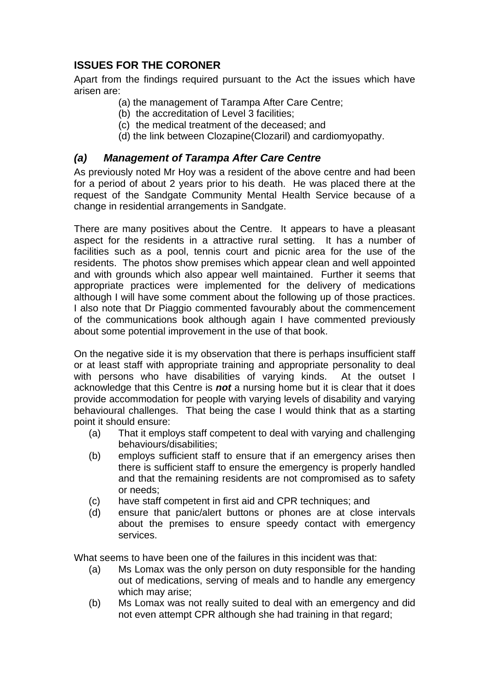## **ISSUES FOR THE CORONER**

Apart from the findings required pursuant to the Act the issues which have arisen are:

- (a) the management of Tarampa After Care Centre;
- (b) the accreditation of Level 3 facilities;
- (c) the medical treatment of the deceased; and
- (d) the link between Clozapine(Clozaril) and cardiomyopathy.

## *(a) Management of Tarampa After Care Centre*

As previously noted Mr Hoy was a resident of the above centre and had been for a period of about 2 years prior to his death. He was placed there at the request of the Sandgate Community Mental Health Service because of a change in residential arrangements in Sandgate.

There are many positives about the Centre. It appears to have a pleasant aspect for the residents in a attractive rural setting. It has a number of facilities such as a pool, tennis court and picnic area for the use of the residents. The photos show premises which appear clean and well appointed and with grounds which also appear well maintained. Further it seems that appropriate practices were implemented for the delivery of medications although I will have some comment about the following up of those practices. I also note that Dr Piaggio commented favourably about the commencement of the communications book although again I have commented previously about some potential improvement in the use of that book.

On the negative side it is my observation that there is perhaps insufficient staff or at least staff with appropriate training and appropriate personality to deal with persons who have disabilities of varying kinds. At the outset I acknowledge that this Centre is *not* a nursing home but it is clear that it does provide accommodation for people with varying levels of disability and varying behavioural challenges. That being the case I would think that as a starting point it should ensure:

- (a) That it employs staff competent to deal with varying and challenging behaviours/disabilities;
- (b) employs sufficient staff to ensure that if an emergency arises then there is sufficient staff to ensure the emergency is properly handled and that the remaining residents are not compromised as to safety or needs;
- (c) have staff competent in first aid and CPR techniques; and
- (d) ensure that panic/alert buttons or phones are at close intervals about the premises to ensure speedy contact with emergency services.

What seems to have been one of the failures in this incident was that:

- (a) Ms Lomax was the only person on duty responsible for the handing out of medications, serving of meals and to handle any emergency which may arise;
- (b) Ms Lomax was not really suited to deal with an emergency and did not even attempt CPR although she had training in that regard;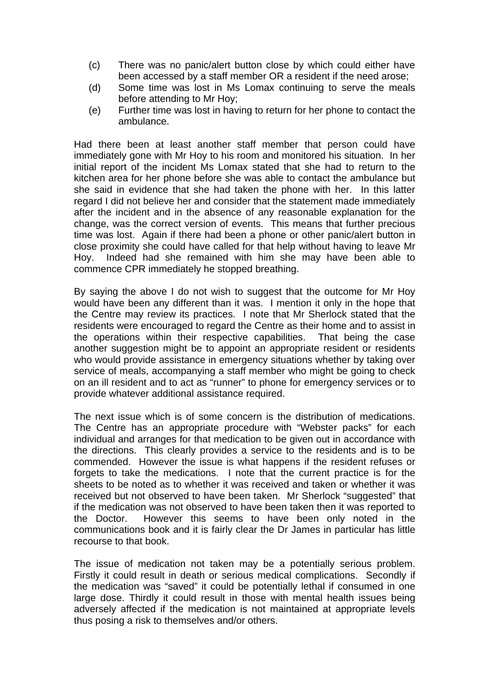- (c) There was no panic/alert button close by which could either have been accessed by a staff member OR a resident if the need arose;
- (d) Some time was lost in Ms Lomax continuing to serve the meals before attending to Mr Hoy;
- (e) Further time was lost in having to return for her phone to contact the ambulance.

Had there been at least another staff member that person could have immediately gone with Mr Hoy to his room and monitored his situation. In her initial report of the incident Ms Lomax stated that she had to return to the kitchen area for her phone before she was able to contact the ambulance but she said in evidence that she had taken the phone with her. In this latter regard I did not believe her and consider that the statement made immediately after the incident and in the absence of any reasonable explanation for the change, was the correct version of events. This means that further precious time was lost. Again if there had been a phone or other panic/alert button in close proximity she could have called for that help without having to leave Mr Hoy. Indeed had she remained with him she may have been able to commence CPR immediately he stopped breathing.

By saying the above I do not wish to suggest that the outcome for Mr Hoy would have been any different than it was. I mention it only in the hope that the Centre may review its practices. I note that Mr Sherlock stated that the residents were encouraged to regard the Centre as their home and to assist in the operations within their respective capabilities. That being the case another suggestion might be to appoint an appropriate resident or residents who would provide assistance in emergency situations whether by taking over service of meals, accompanying a staff member who might be going to check on an ill resident and to act as "runner" to phone for emergency services or to provide whatever additional assistance required.

The next issue which is of some concern is the distribution of medications. The Centre has an appropriate procedure with "Webster packs" for each individual and arranges for that medication to be given out in accordance with the directions. This clearly provides a service to the residents and is to be commended. However the issue is what happens if the resident refuses or forgets to take the medications. I note that the current practice is for the sheets to be noted as to whether it was received and taken or whether it was received but not observed to have been taken. Mr Sherlock "suggested" that if the medication was not observed to have been taken then it was reported to the Doctor. However this seems to have been only noted in the communications book and it is fairly clear the Dr James in particular has little recourse to that book.

The issue of medication not taken may be a potentially serious problem. Firstly it could result in death or serious medical complications. Secondly if the medication was "saved" it could be potentially lethal if consumed in one large dose. Thirdly it could result in those with mental health issues being adversely affected if the medication is not maintained at appropriate levels thus posing a risk to themselves and/or others.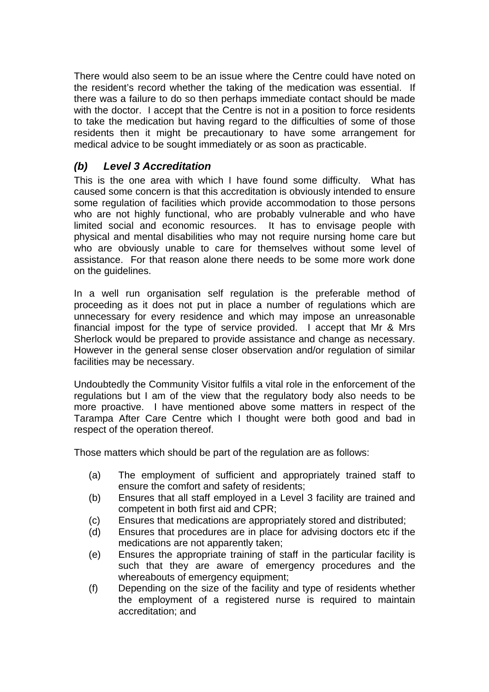There would also seem to be an issue where the Centre could have noted on the resident's record whether the taking of the medication was essential. If there was a failure to do so then perhaps immediate contact should be made with the doctor. I accept that the Centre is not in a position to force residents to take the medication but having regard to the difficulties of some of those residents then it might be precautionary to have some arrangement for medical advice to be sought immediately or as soon as practicable.

## *(b) Level 3 Accreditation*

This is the one area with which I have found some difficulty. What has caused some concern is that this accreditation is obviously intended to ensure some regulation of facilities which provide accommodation to those persons who are not highly functional, who are probably vulnerable and who have limited social and economic resources. It has to envisage people with physical and mental disabilities who may not require nursing home care but who are obviously unable to care for themselves without some level of assistance. For that reason alone there needs to be some more work done on the guidelines.

In a well run organisation self regulation is the preferable method of proceeding as it does not put in place a number of regulations which are unnecessary for every residence and which may impose an unreasonable financial impost for the type of service provided. I accept that Mr & Mrs Sherlock would be prepared to provide assistance and change as necessary. However in the general sense closer observation and/or regulation of similar facilities may be necessary.

Undoubtedly the Community Visitor fulfils a vital role in the enforcement of the regulations but I am of the view that the regulatory body also needs to be more proactive. I have mentioned above some matters in respect of the Tarampa After Care Centre which I thought were both good and bad in respect of the operation thereof.

Those matters which should be part of the regulation are as follows:

- (a) The employment of sufficient and appropriately trained staff to ensure the comfort and safety of residents;
- (b) Ensures that all staff employed in a Level 3 facility are trained and competent in both first aid and CPR;
- (c) Ensures that medications are appropriately stored and distributed;
- (d) Ensures that procedures are in place for advising doctors etc if the medications are not apparently taken;
- (e) Ensures the appropriate training of staff in the particular facility is such that they are aware of emergency procedures and the whereabouts of emergency equipment;
- (f) Depending on the size of the facility and type of residents whether the employment of a registered nurse is required to maintain accreditation; and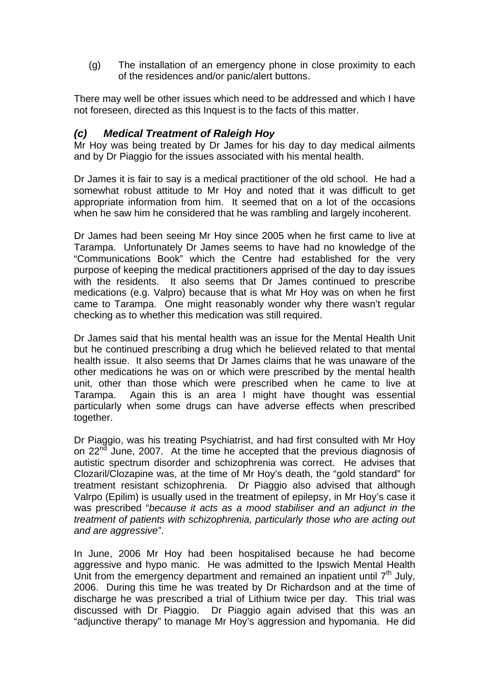(g) The installation of an emergency phone in close proximity to each of the residences and/or panic/alert buttons.

There may well be other issues which need to be addressed and which I have not foreseen, directed as this Inquest is to the facts of this matter.

#### *(c) Medical Treatment of Raleigh Hoy*

Mr Hoy was being treated by Dr James for his day to day medical ailments and by Dr Piaggio for the issues associated with his mental health.

Dr James it is fair to say is a medical practitioner of the old school. He had a somewhat robust attitude to Mr Hoy and noted that it was difficult to get appropriate information from him. It seemed that on a lot of the occasions when he saw him he considered that he was rambling and largely incoherent.

Dr James had been seeing Mr Hoy since 2005 when he first came to live at Tarampa. Unfortunately Dr James seems to have had no knowledge of the "Communications Book" which the Centre had established for the very purpose of keeping the medical practitioners apprised of the day to day issues with the residents. It also seems that Dr James continued to prescribe medications (e.g. Valpro) because that is what Mr Hoy was on when he first came to Tarampa. One might reasonably wonder why there wasn't regular checking as to whether this medication was still required.

Dr James said that his mental health was an issue for the Mental Health Unit but he continued prescribing a drug which he believed related to that mental health issue. It also seems that Dr James claims that he was unaware of the other medications he was on or which were prescribed by the mental health unit, other than those which were prescribed when he came to live at Tarampa. Again this is an area I might have thought was essential particularly when some drugs can have adverse effects when prescribed together.

Dr Piaggio, was his treating Psychiatrist, and had first consulted with Mr Hoy on 22<sup>nd</sup> June, 2007. At the time he accepted that the previous diagnosis of autistic spectrum disorder and schizophrenia was correct. He advises that Clozaril/Clozapine was, at the time of Mr Hoy's death, the "gold standard" for treatment resistant schizophrenia. Dr Piaggio also advised that although Valrpo (Epilim) is usually used in the treatment of epilepsy, in Mr Hoy's case it was prescribed "*because it acts as a mood stabiliser and an adjunct in the treatment of patients with schizophrenia, particularly those who are acting out and are aggressive"*.

In June, 2006 Mr Hoy had been hospitalised because he had become aggressive and hypo manic. He was admitted to the Ipswich Mental Health Unit from the emergency department and remained an inpatient until  $7<sup>th</sup>$  July, 2006. During this time he was treated by Dr Richardson and at the time of discharge he was prescribed a trial of Lithium twice per day. This trial was discussed with Dr Piaggio. Dr Piaggio again advised that this was an "adjunctive therapy" to manage Mr Hoy's aggression and hypomania. He did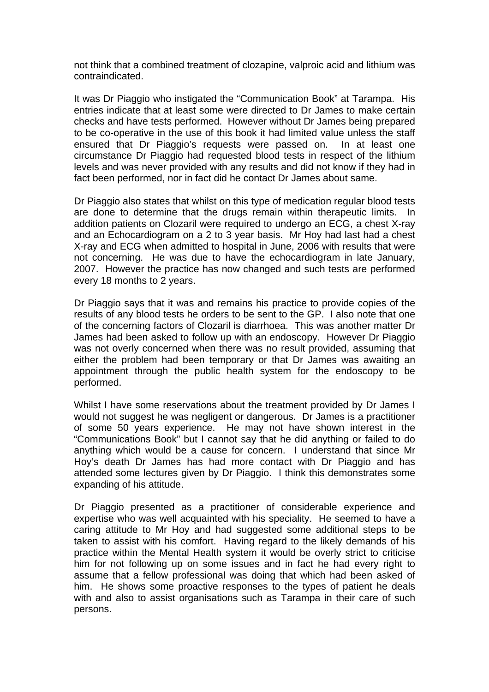not think that a combined treatment of clozapine, valproic acid and lithium was contraindicated.

It was Dr Piaggio who instigated the "Communication Book" at Tarampa. His entries indicate that at least some were directed to Dr James to make certain checks and have tests performed. However without Dr James being prepared to be co-operative in the use of this book it had limited value unless the staff ensured that Dr Piaggio's requests were passed on. In at least one circumstance Dr Piaggio had requested blood tests in respect of the lithium levels and was never provided with any results and did not know if they had in fact been performed, nor in fact did he contact Dr James about same.

Dr Piaggio also states that whilst on this type of medication regular blood tests are done to determine that the drugs remain within therapeutic limits. In addition patients on Clozaril were required to undergo an ECG, a chest X-ray and an Echocardiogram on a 2 to 3 year basis. Mr Hoy had last had a chest X-ray and ECG when admitted to hospital in June, 2006 with results that were not concerning. He was due to have the echocardiogram in late January, 2007. However the practice has now changed and such tests are performed every 18 months to 2 years.

Dr Piaggio says that it was and remains his practice to provide copies of the results of any blood tests he orders to be sent to the GP. I also note that one of the concerning factors of Clozaril is diarrhoea. This was another matter Dr James had been asked to follow up with an endoscopy. However Dr Piaggio was not overly concerned when there was no result provided, assuming that either the problem had been temporary or that Dr James was awaiting an appointment through the public health system for the endoscopy to be performed.

Whilst I have some reservations about the treatment provided by Dr James I would not suggest he was negligent or dangerous. Dr James is a practitioner of some 50 years experience. He may not have shown interest in the "Communications Book" but I cannot say that he did anything or failed to do anything which would be a cause for concern. I understand that since Mr Hoy's death Dr James has had more contact with Dr Piaggio and has attended some lectures given by Dr Piaggio. I think this demonstrates some expanding of his attitude.

Dr Piaggio presented as a practitioner of considerable experience and expertise who was well acquainted with his speciality. He seemed to have a caring attitude to Mr Hoy and had suggested some additional steps to be taken to assist with his comfort. Having regard to the likely demands of his practice within the Mental Health system it would be overly strict to criticise him for not following up on some issues and in fact he had every right to assume that a fellow professional was doing that which had been asked of him. He shows some proactive responses to the types of patient he deals with and also to assist organisations such as Tarampa in their care of such persons.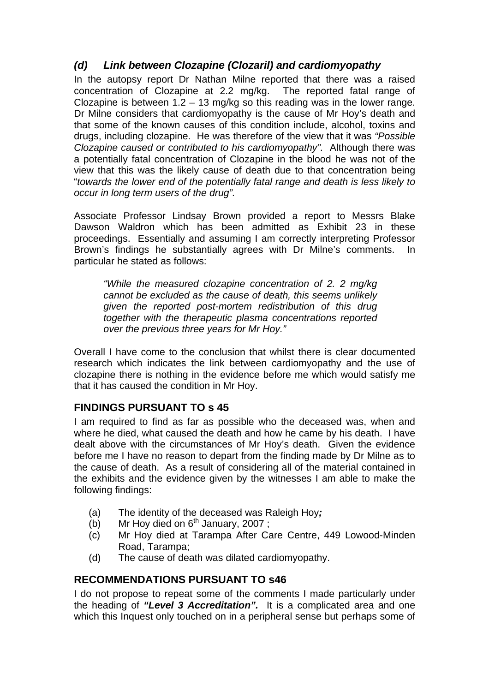## *(d) Link between Clozapine (Clozaril) and cardiomyopathy*

In the autopsy report Dr Nathan Milne reported that there was a raised concentration of Clozapine at 2.2 mg/kg. The reported fatal range of Clozapine is between  $1.2 - 13$  mg/kg so this reading was in the lower range. Dr Milne considers that cardiomyopathy is the cause of Mr Hoy's death and that some of the known causes of this condition include, alcohol, toxins and drugs, including clozapine. He was therefore of the view that it was *"Possible Clozapine caused or contributed to his cardiomyopathy".* Although there was a potentially fatal concentration of Clozapine in the blood he was not of the view that this was the likely cause of death due to that concentration being "*towards the lower end of the potentially fatal range and death is less likely to occur in long term users of the drug".* 

Associate Professor Lindsay Brown provided a report to Messrs Blake Dawson Waldron which has been admitted as Exhibit 23 in these proceedings. Essentially and assuming I am correctly interpreting Professor Brown's findings he substantially agrees with Dr Milne's comments. In particular he stated as follows:

*"While the measured clozapine concentration of 2. 2 mg/kg cannot be excluded as the cause of death, this seems unlikely given the reported post-mortem redistribution of this drug together with the therapeutic plasma concentrations reported over the previous three years for Mr Hoy."*

Overall I have come to the conclusion that whilst there is clear documented research which indicates the link between cardiomyopathy and the use of clozapine there is nothing in the evidence before me which would satisfy me that it has caused the condition in Mr Hoy.

## **FINDINGS PURSUANT TO s 45**

I am required to find as far as possible who the deceased was, when and where he died, what caused the death and how he came by his death. I have dealt above with the circumstances of Mr Hoy's death. Given the evidence before me I have no reason to depart from the finding made by Dr Milne as to the cause of death. As a result of considering all of the material contained in the exhibits and the evidence given by the witnesses I am able to make the following findings:

- (a) The identity of the deceased was Raleigh Hoy*;*
- (b) Mr Hoy died on  $6<sup>th</sup>$  January, 2007 ;
- (c) Mr Hoy died at Tarampa After Care Centre, 449 Lowood-Minden Road, Tarampa;
- (d) The cause of death was dilated cardiomyopathy.

## **RECOMMENDATIONS PURSUANT TO s46**

I do not propose to repeat some of the comments I made particularly under the heading of *"Level 3 Accreditation".* It is a complicated area and one which this Inquest only touched on in a peripheral sense but perhaps some of